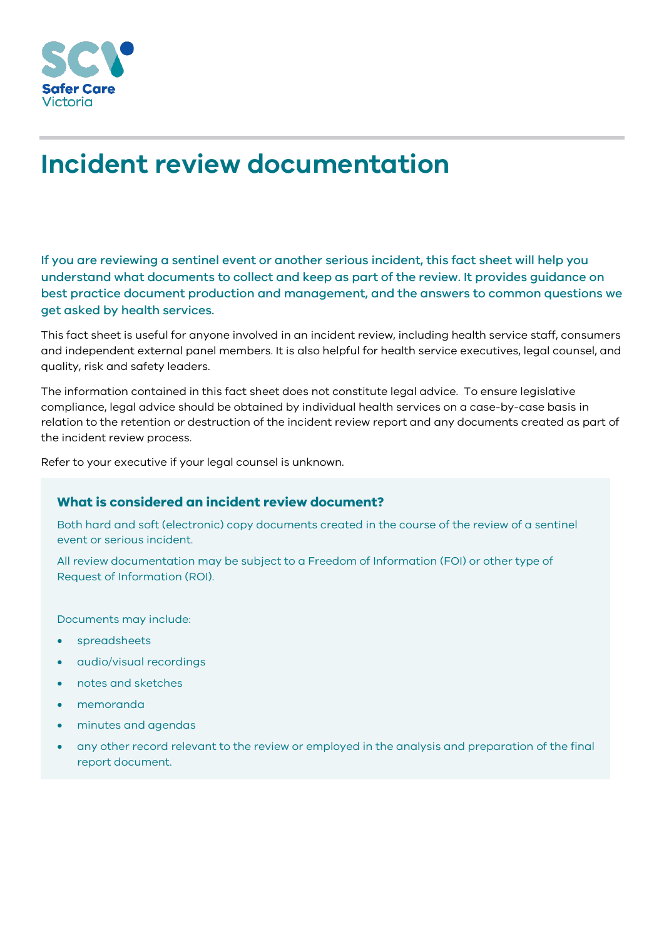

# **Incident review documentation**

If you are reviewing a sentinel event or another serious incident, this fact sheet will help you understand what documents to collect and keep as part of the review. It provides guidance on best practice document production and management, and the answers to common questions we get asked by health services.

This fact sheet is useful for anyone involved in an incident review, including health service staff, consumers and independent external panel members. It is also helpful for health service executives, legal counsel, and quality, risk and safety leaders.

The information contained in this fact sheet does not constitute legal advice. To ensure legislative compliance, legal advice should be obtained by individual health services on a case-by-case basis in relation to the retention or destruction of the incident review report and any documents created as part of the incident review process.

Refer to your executive if your legal counsel is unknown.

## **What is considered an incident review document?**

Both hard and soft (electronic) copy documents created in the course of the review of a sentinel event or serious incident.

All review documentation may be subject to a Freedom of Information (FOI) or other type of Request of Information (ROI).

Documents may include:

- spreadsheets
- audio/visual recordings
- notes and sketches
- memoranda
- minutes and agendas
- any other record relevant to the review or employed in the analysis and preparation of the final report document.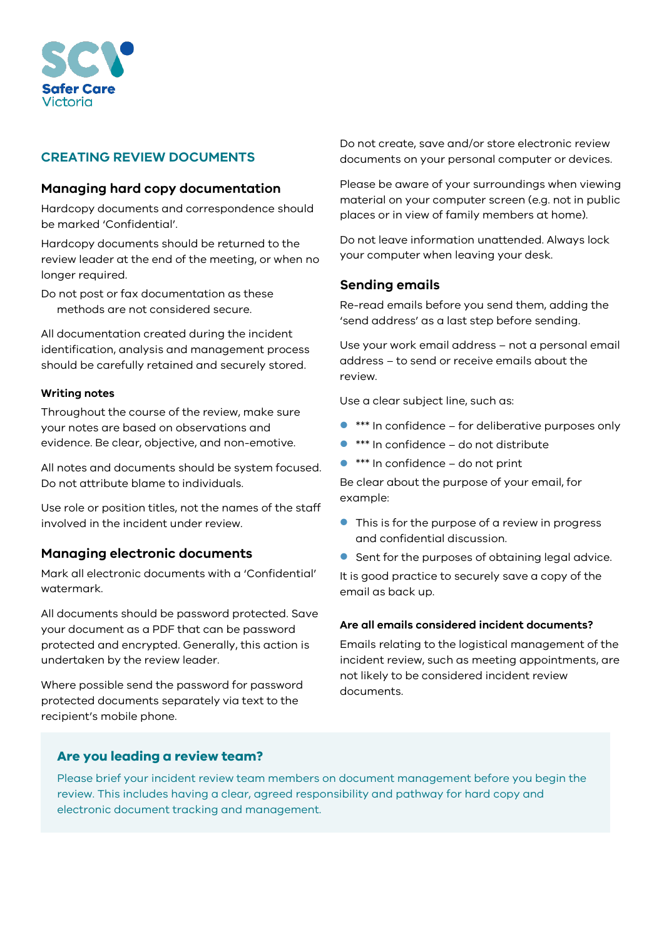

# **CREATING REVIEW DOCUMENTS**

## **Managing hard copy documentation**

Hardcopy documents and correspondence should be marked 'Confidential'.

Hardcopy documents should be returned to the review leader at the end of the meeting, or when no longer required.

Do not post or fax documentation as these methods are not considered secure.

All documentation created during the incident identification, analysis and management process should be carefully retained and securely stored.

#### **Writing notes**

Throughout the course of the review, make sure your notes are based on observations and evidence. Be clear, objective, and non-emotive.

All notes and documents should be system focused. Do not attribute blame to individuals.

Use role or position titles, not the names of the staff involved in the incident under review.

### **Managing electronic documents**

Mark all electronic documents with a 'Confidential' watermark.

All documents should be password protected. Save your document as a PDF that can be password protected and encrypted. Generally, this action is undertaken by the review leader.

Where possible send the password for password protected documents separately via text to the recipient's mobile phone.

Do not create, save and/or store electronic review documents on your personal computer or devices.

Please be aware of your surroundings when viewing material on your computer screen (e.g. not in public places or in view of family members at home).

Do not leave information unattended. Always lock your computer when leaving your desk.

## **Sending emails**

Re-read emails before you send them, adding the 'send address' as a last step before sending.

Use your work email address – not a personal email address – to send or receive emails about the review.

Use a clear subject line, such as:

- \*\*\* In confidence for deliberative purposes only
- \*\*\* In confidence do not distribute
- $***$  In confidence do not print

Be clear about the purpose of your email, for example:

- This is for the purpose of a review in progress and confidential discussion.
- Sent for the purposes of obtaining legal advice.

It is good practice to securely save a copy of the email as back up.

#### **Are all emails considered incident documents?**

Emails relating to the logistical management of the incident review, such as meeting appointments, are not likely to be considered incident review documents.

### **Are you leading a review team?**

Please brief your incident review team members on document management before you begin the review. This includes having a clear, agreed responsibility and pathway for hard copy and electronic document tracking and management.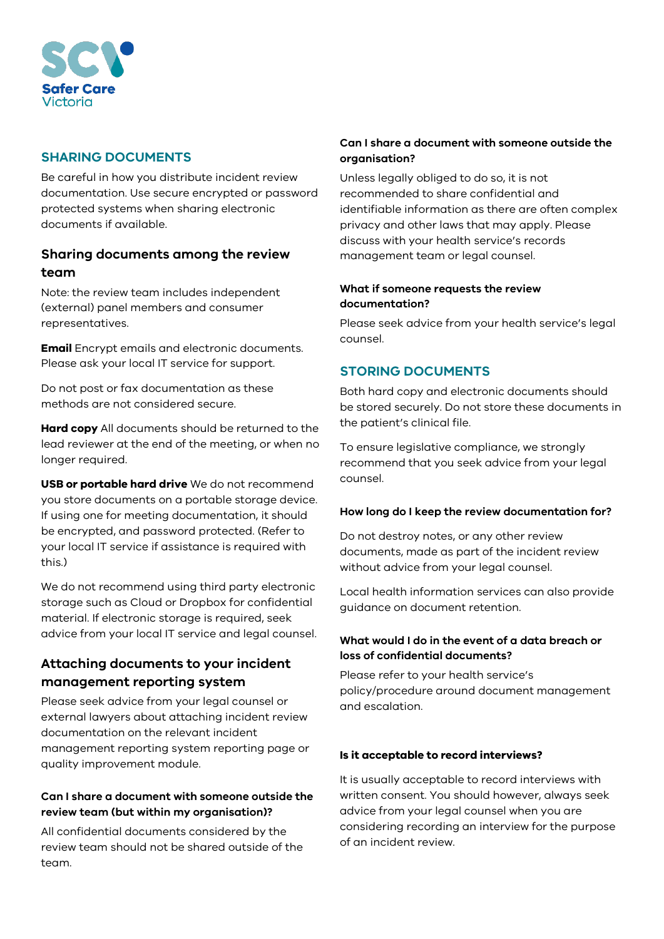

# **SHARING DOCUMENTS**

Be careful in how you distribute incident review documentation. Use secure encrypted or password protected systems when sharing electronic documents if available.

# **Sharing documents among the review team**

Note: the review team includes independent (external) panel members and consumer representatives.

**Email** Encrypt emails and electronic documents. Please ask your local IT service for support.

Do not post or fax documentation as these methods are not considered secure.

**Hard copy** All documents should be returned to the lead reviewer at the end of the meeting, or when no longer required.

**USB or portable hard drive** We do not recommend you store documents on a portable storage device. If using one for meeting documentation, it should be encrypted, and password protected. (Refer to your local IT service if assistance is required with this.)

We do not recommend using third party electronic storage such as Cloud or Dropbox for confidential material. If electronic storage is required, seek advice from your local IT service and legal counsel.

# **Attaching documents to your incident management reporting system**

Please seek advice from your legal counsel or external lawyers about attaching incident review documentation on the relevant incident management reporting system reporting page or quality improvement module.

## **Can I share a document with someone outside the review team (but within my organisation)?**

All confidential documents considered by the review team should not be shared outside of the team.

# **Can I share a document with someone outside the organisation?**

Unless legally obliged to do so, it is not recommended to share confidential and identifiable information as there are often complex privacy and other laws that may apply. Please discuss with your health service's records management team or legal counsel.

### **What if someone requests the review documentation?**

Please seek advice from your health service's legal counsel.

# **STORING DOCUMENTS**

Both hard copy and electronic documents should be stored securely. Do not store these documents in the patient's clinical file.

To ensure legislative compliance, we strongly recommend that you seek advice from your legal counsel.

### **How long do I keep the review documentation for?**

Do not destroy notes, or any other review documents, made as part of the incident review without advice from your legal counsel.

Local health information services can also provide guidance on document retention.

## **What would I do in the event of a data breach or loss of confidential documents?**

Please refer to your health service's policy/procedure around document management and escalation.

### **Is it acceptable to record interviews?**

It is usually acceptable to record interviews with written consent. You should however, always seek advice from your legal counsel when you are considering recording an interview for the purpose of an incident review.